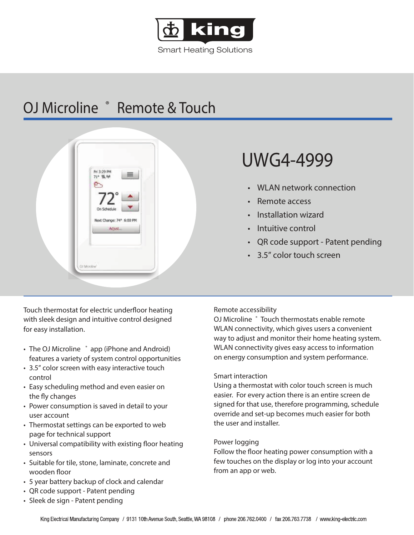

Smart Heating Solutions

## OJ Microline ® Remote & Touch



Touch thermostat for electric underfloor heating with sleek design and intuitive control designed for easy installation.

- The OJ Microline <sup>\*</sup> app (iPhone and Android) features a variety of system control opportunities
- 3.5" color screen with easy interactive touch control
- Easy scheduling method and even easier on the fly changes
- Power consumption is saved in detail to your user account
- Thermostat settings can be exported to web page for technical support
- Universal compatibility with existing floor heating sensors
- Suitable for tile, stone, laminate, concrete and wooden floor
- 5 year battery backup of clock and calendar
- QR code support Patent pending
- Sleek de sign Patent pending

# UWG4-4999

- WLAN network connection
- Remote access
- Installation wizard
- Intuitive control
- QR code support Patent pending
- 3.5" color touch screen

## Remote accessibility

OJ Microline ® Touch thermostats enable remote WLAN connectivity, which gives users a convenient way to adjust and monitor their home heating system. WLAN connectivity gives easy access to information on energy consumption and system performance.

## Smart interaction

Using a thermostat with color touch screen is much easier. For every action there is an entire screen de signed for that use, therefore programming, schedule override and set-up becomes much easier for both the user and installer.

## Power logging

Follow the floor heating power consumption with a few touches on the display or log into your account from an app or web.